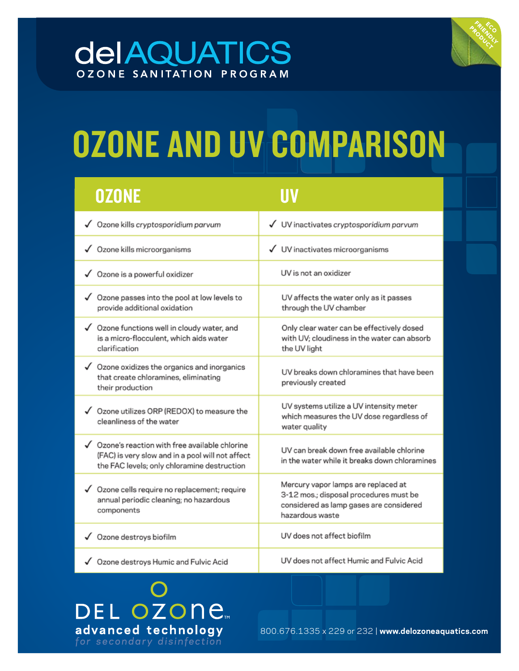## **deIAQUATICS** OZONE SANITATION PROGRAM



# OZONE AND UV COMPARISON

| <b>OZONE</b>                                                                                                                                       |                                                                                                                                             |
|----------------------------------------------------------------------------------------------------------------------------------------------------|---------------------------------------------------------------------------------------------------------------------------------------------|
| √ Ozone kills cryptosporidium parvum                                                                                                               | √ UV inactivates cryptosporidium parvum                                                                                                     |
| √ Ozone kills microorganisms                                                                                                                       | √ UV inactivates microorganisms                                                                                                             |
| √ Ozone is a powerful oxidizer                                                                                                                     | UV is not an oxidizer                                                                                                                       |
| √ Ozone passes into the pool at low levels to<br>provide additional oxidation                                                                      | UV affects the water only as it passes<br>through the UV chamber                                                                            |
| √ Ozone functions well in cloudy water, and<br>is a micro-flocculent, which aids water<br>clarification                                            | Only clear water can be effectively dosed<br>with UV; cloudiness in the water can absorb<br>the UV light                                    |
| √ Ozone oxidizes the organics and inorganics<br>that create chloramines, eliminating<br>their production                                           | UV breaks down chloramines that have been<br>previously created                                                                             |
| √ Ozone utilizes ORP (REDOX) to measure the<br>cleanliness of the water                                                                            | UV systems utilize a UV intensity meter<br>which measures the UV dose regardless of<br>water quality                                        |
| √ Ozone's reaction with free available chlorine<br>(FAC) is very slow and in a pool will not affect<br>the FAC levels; only chloramine destruction | UV can break down free available chlorine<br>in the water while it breaks down chloramines                                                  |
| √ Ozone cells require no replacement; require<br>annual periodic cleaning; no hazardous<br>components                                              | Mercury vapor lamps are replaced at<br>3-12 mos.; disposal procedures must be<br>considered as lamp gases are considered<br>hazardous waste |
| √ Ozone destroys biofilm                                                                                                                           | UV does not affect biofilm                                                                                                                  |
| √ Ozone destroys Humic and Fulvic Acid                                                                                                             | UV does not affect Humic and Fulvic Acid                                                                                                    |

 $\bigcap$ DEL OZONE advanced technology for secondary disinfection